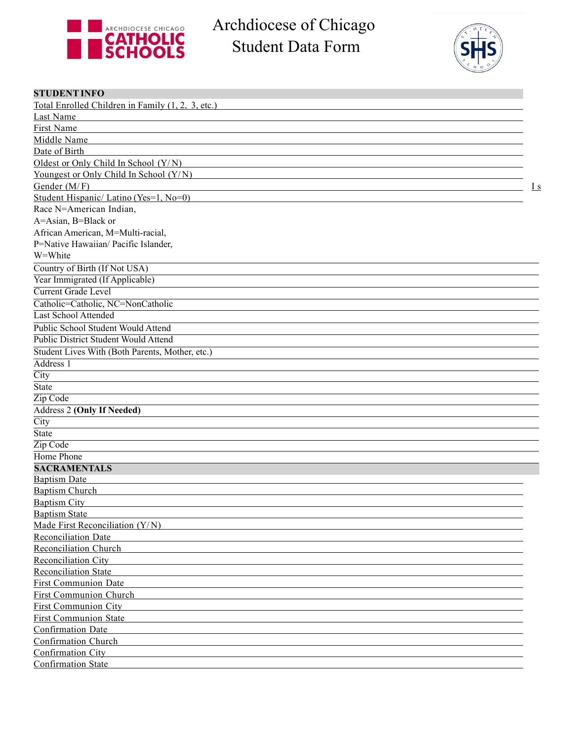

Archdiocese of Chicago Student Data Form



| <b>STUDENT INFO</b>                               |     |
|---------------------------------------------------|-----|
| Total Enrolled Children in Family (1, 2, 3, etc.) |     |
| Last Name                                         |     |
| First Name                                        |     |
| Middle Name                                       |     |
| Date of Birth                                     |     |
| Oldest or Only Child In School (Y/N)              |     |
| Youngest or Only Child In School (Y/N)            |     |
| Gender (M/F)                                      | I s |
| Student Hispanic/ Latino (Yes=1, No=0)            |     |
| Race N=American Indian,                           |     |
| A=Asian, B=Black or                               |     |
| African American, M=Multi-racial,                 |     |
| P=Native Hawaiian/ Pacific Islander,              |     |
| W=White                                           |     |
| Country of Birth (If Not USA)                     |     |
| Year Immigrated (If Applicable)                   |     |
| <b>Current Grade Level</b>                        |     |
| Catholic=Catholic, NC=NonCatholic                 |     |
| <b>Last School Attended</b>                       |     |
| Public School Student Would Attend                |     |
| Public District Student Would Attend              |     |
| Student Lives With (Both Parents, Mother, etc.)   |     |
| Address <sub>1</sub>                              |     |
| City                                              |     |
| <b>State</b>                                      |     |
| Zip Code                                          |     |
| Address 2 (Only If Needed)                        |     |
| City                                              |     |
| <b>State</b>                                      |     |
| Zip Code                                          |     |
| Home Phone                                        |     |
| <b>SACRAMENTALS</b>                               |     |
| <b>Baptism Date</b>                               |     |
| <b>Baptism Church</b>                             |     |
| <b>Baptism City</b>                               |     |
| <b>Baptism State</b>                              |     |
| Made First Reconciliation $(Y/N)$                 |     |
| <b>Reconciliation Date</b>                        |     |
| Reconciliation Church                             |     |
| Reconciliation City                               |     |
| <b>Reconciliation State</b>                       |     |
| <b>First Communion Date</b>                       |     |
| First Communion Church                            |     |
| <b>First Communion City</b>                       |     |
| <b>First Communion State</b>                      |     |
| Confirmation Date                                 |     |
| Confirmation Church                               |     |
| Confirmation City                                 |     |
| <b>Confirmation State</b>                         |     |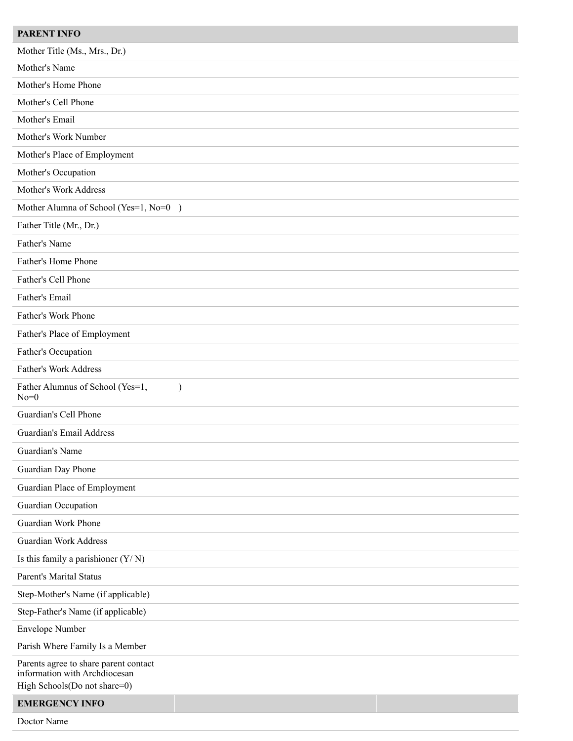| <b>PARENT INFO</b>                                                                                     |
|--------------------------------------------------------------------------------------------------------|
| Mother Title (Ms., Mrs., Dr.)                                                                          |
| Mother's Name                                                                                          |
| Mother's Home Phone                                                                                    |
| Mother's Cell Phone                                                                                    |
| Mother's Email                                                                                         |
| Mother's Work Number                                                                                   |
| Mother's Place of Employment                                                                           |
| Mother's Occupation                                                                                    |
| Mother's Work Address                                                                                  |
| Mother Alumna of School (Yes=1, No=0)                                                                  |
| Father Title (Mr., Dr.)                                                                                |
| Father's Name                                                                                          |
| Father's Home Phone                                                                                    |
| Father's Cell Phone                                                                                    |
| Father's Email                                                                                         |
| Father's Work Phone                                                                                    |
| Father's Place of Employment                                                                           |
| Father's Occupation                                                                                    |
| <b>Father's Work Address</b>                                                                           |
| Father Alumnus of School (Yes=1,<br>$\lambda$<br>$No=0$                                                |
| Guardian's Cell Phone                                                                                  |
| <b>Guardian's Email Address</b>                                                                        |
| Guardian's Name                                                                                        |
| Guardian Day Phone                                                                                     |
| Guardian Place of Employment                                                                           |
| Guardian Occupation                                                                                    |
| Guardian Work Phone                                                                                    |
| <b>Guardian Work Address</b>                                                                           |
| Is this family a parishioner $(Y/N)$                                                                   |
| Parent's Marital Status                                                                                |
| Step-Mother's Name (if applicable)                                                                     |
| Step-Father's Name (if applicable)                                                                     |
| <b>Envelope Number</b>                                                                                 |
| Parish Where Family Is a Member                                                                        |
| Parents agree to share parent contact<br>information with Archdiocesan<br>High Schools(Do not share=0) |
| <b>EMERGENCY INFO</b>                                                                                  |
| Doctor Name                                                                                            |